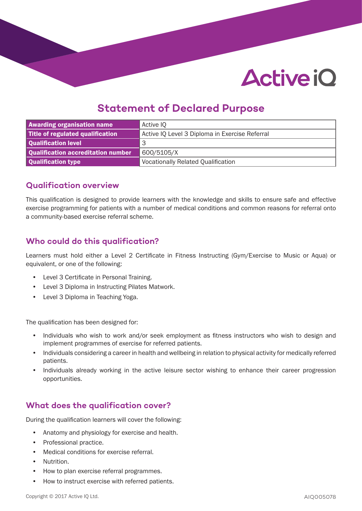# **Active iO**

# **Statement of Declared Purpose**

| <b>Awarding organisation name</b>  | Active IQ                                      |
|------------------------------------|------------------------------------------------|
| Title of regulated qualification   | Active IQ Level 3 Diploma in Exercise Referral |
| Qualification level                | З                                              |
| Qualification accreditation number | 600/5105/X                                     |
| Qualification type                 | <b>Vocationally Related Qualification</b>      |

### **Qualification overview**

This qualification is designed to provide learners with the knowledge and skills to ensure safe and effective exercise programming for patients with a number of medical conditions and common reasons for referral onto a community-based exercise referral scheme.

# **Who could do this qualification?**

Learners must hold either a Level 2 Certificate in Fitness Instructing (Gym/Exercise to Music or Aqua) or equivalent, or one of the following:

- Level 3 Certificate in Personal Training.
- Level 3 Diploma in Instructing Pilates Matwork.
- Level 3 Diploma in Teaching Yoga.

The qualification has been designed for:

- Individuals who wish to work and/or seek employment as fitness instructors who wish to design and implement programmes of exercise for referred patients.
- Individuals considering a career in health and wellbeing in relation to physical activity for medically referred patients.
- Individuals already working in the active leisure sector wishing to enhance their career progression opportunities.

# **What does the qualification cover?**

During the qualification learners will cover the following:

- Anatomy and physiology for exercise and health.
- Professional practice.
- Medical conditions for exercise referral.
- Nutrition.
- How to plan exercise referral programmes.
- How to instruct exercise with referred patients.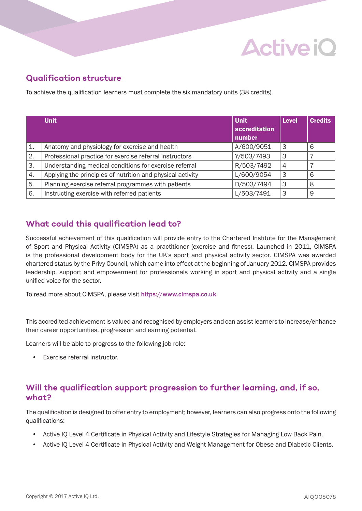# **Active iO**

# **Qualification structure**

To achieve the qualification learners must complete the six mandatory units (38 credits).

|    | <b>Unit</b>                                                | <b>Unit</b>   | <b>Level</b>   | <b>Credits</b> |
|----|------------------------------------------------------------|---------------|----------------|----------------|
|    |                                                            | accreditation |                |                |
|    |                                                            | number        |                |                |
| 1. | Anatomy and physiology for exercise and health             | A/600/9051    | 3              | 6              |
| 2. | Professional practice for exercise referral instructors    | Y/503/7493    | 3              |                |
| 3. | Understanding medical conditions for exercise referral     | R/503/7492    | $\overline{4}$ |                |
| 4. | Applying the principles of nutrition and physical activity | L/600/9054    | 3              | 6              |
| 5. | Planning exercise referral programmes with patients        | D/503/7494    | 3              | 8              |
| 6. | Instructing exercise with referred patients                | L/503/7491    | 3              | 9              |

# **What could this qualification lead to?**

Successful achievement of this qualification will provide entry to the Chartered Institute for the Management of Sport and Physical Activity (CIMSPA) as a practitioner (exercise and fitness). Launched in 2011, CIMSPA is the professional development body for the UK's sport and physical activity sector. CIMSPA was awarded chartered status by the Privy Council, which came into effect at the beginning of January 2012. CIMSPA provides leadership, support and empowerment for professionals working in sport and physical activity and a single unified voice for the sector.

To read more about CIMSPA, please visit https://www.cimspa.co.uk

This accredited achievement is valued and recognised by employers and can assist learners to increase/enhance their career opportunities, progression and earning potential.

Learners will be able to progress to the following job role:

**Exercise referral instructor.** 

### **Will the qualification support progression to further learning, and, if so, what?**

The qualification is designed to offer entry to employment; however, learners can also progress onto the following qualifications:

- Active IQ Level 4 Certificate in Physical Activity and Lifestyle Strategies for Managing Low Back Pain.
- Active IQ Level 4 Certificate in Physical Activity and Weight Management for Obese and Diabetic Clients.